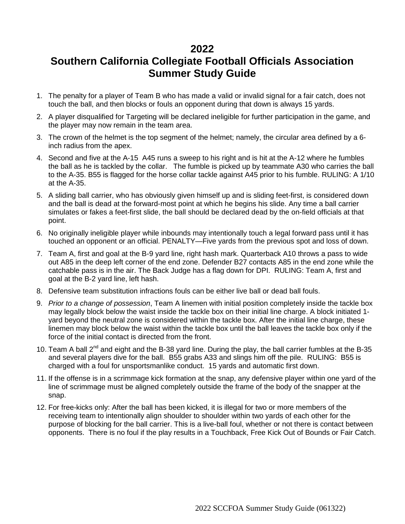## **2022**

## **Southern California Collegiate Football Officials Association Summer Study Guide**

- 1. The penalty for a player of Team B who has made a valid or invalid signal for a fair catch, does not touch the ball, and then blocks or fouls an opponent during that down is always 15 yards.
- 2. A player disqualified for Targeting will be declared ineligible for further participation in the game, and the player may now remain in the team area.
- 3. The crown of the helmet is the top segment of the helmet; namely, the circular area defined by a 6 inch radius from the apex.
- 4. Second and five at the A-15 A45 runs a sweep to his right and is hit at the A-12 where he fumbles the ball as he is tackled by the collar. The fumble is picked up by teammate A30 who carries the ball to the A-35. B55 is flagged for the horse collar tackle against A45 prior to his fumble. RULING: A 1/10 at the A-35.
- 5. A sliding ball carrier, who has obviously given himself up and is sliding feet-first, is considered down and the ball is dead at the forward-most point at which he begins his slide. Any time a ball carrier simulates or fakes a feet-first slide, the ball should be declared dead by the on-field officials at that point.
- 6. No originally ineligible player while inbounds may intentionally touch a legal forward pass until it has touched an opponent or an official. PENALTY—Five yards from the previous spot and loss of down.
- 7. Team A, first and goal at the B-9 yard line, right hash mark. Quarterback A10 throws a pass to wide out A85 in the deep left corner of the end zone. Defender B27 contacts A85 in the end zone while the catchable pass is in the air. The Back Judge has a flag down for DPI. RULING: Team A, first and goal at the B-2 yard line, left hash.
- 8. Defensive team substitution infractions fouls can be either live ball or dead ball fouls.
- 9. *Prior to a change of possession*, Team A linemen with initial position completely inside the tackle box may legally block below the waist inside the tackle box on their initial line charge. A block initiated 1 yard beyond the neutral zone is considered within the tackle box. After the initial line charge, these linemen may block below the waist within the tackle box until the ball leaves the tackle box only if the force of the initial contact is directed from the front.
- 10. Team A ball  $2^{nd}$  and eight and the B-38 yard line. During the play, the ball carrier fumbles at the B-35 and several players dive for the ball. B55 grabs A33 and slings him off the pile. RULING: B55 is charged with a foul for unsportsmanlike conduct. 15 yards and automatic first down.
- 11. If the offense is in a scrimmage kick formation at the snap, any defensive player within one yard of the line of scrimmage must be aligned completely outside the frame of the body of the snapper at the snap.
- 12. For free-kicks only: After the ball has been kicked, it is illegal for two or more members of the receiving team to intentionally align shoulder to shoulder within two yards of each other for the purpose of blocking for the ball carrier. This is a live-ball foul, whether or not there is contact between opponents. There is no foul if the play results in a Touchback, Free Kick Out of Bounds or Fair Catch.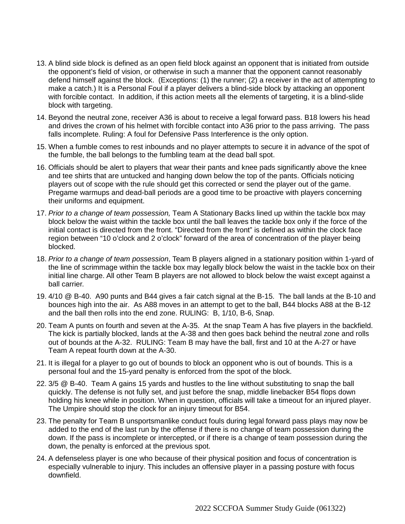- 13. A blind side block is defined as an open field block against an opponent that is initiated from outside the opponent's field of vision, or otherwise in such a manner that the opponent cannot reasonably defend himself against the block. (Exceptions: (1) the runner; (2) a receiver in the act of attempting to make a catch.) It is a Personal Foul if a player delivers a blind-side block by attacking an opponent with forcible contact. In addition, if this action meets all the elements of targeting, it is a blind-slide block with targeting.
- 14. Beyond the neutral zone, receiver A36 is about to receive a legal forward pass. B18 lowers his head and drives the crown of his helmet with forcible contact into A36 prior to the pass arriving. The pass falls incomplete. Ruling: A foul for Defensive Pass Interference is the only option.
- 15. When a fumble comes to rest inbounds and no player attempts to secure it in advance of the spot of the fumble, the ball belongs to the fumbling team at the dead ball spot.
- 16. Officials should be alert to players that wear their pants and knee pads significantly above the knee and tee shirts that are untucked and hanging down below the top of the pants. Officials noticing players out of scope with the rule should get this corrected or send the player out of the game. Pregame warmups and dead-ball periods are a good time to be proactive with players concerning their uniforms and equipment.
- 17. *Prior to a change of team possession,* Team A Stationary Backs lined up within the tackle box may block below the waist within the tackle box until the ball leaves the tackle box only if the force of the initial contact is directed from the front. "Directed from the front" is defined as within the clock face region between "10 o'clock and 2 o'clock" forward of the area of concentration of the player being blocked.
- 18. *Prior to a change of team possession*, Team B players aligned in a stationary position within 1-yard of the line of scrimmage within the tackle box may legally block below the waist in the tackle box on their initial line charge. All other Team B players are not allowed to block below the waist except against a ball carrier.
- 19. 4/10 @ B-40. A90 punts and B44 gives a fair catch signal at the B-15. The ball lands at the B-10 and bounces high into the air. As A88 moves in an attempt to get to the ball, B44 blocks A88 at the B-12 and the ball then rolls into the end zone. RULING: B, 1/10, B-6, Snap.
- 20. Team A punts on fourth and seven at the A-35. At the snap Team A has five players in the backfield. The kick is partially blocked, lands at the A-38 and then goes back behind the neutral zone and rolls out of bounds at the A-32. RULING: Team B may have the ball, first and 10 at the A-27 or have Team A repeat fourth down at the A-30.
- 21. It is illegal for a player to go out of bounds to block an opponent who is outof bounds. This is a personal foul and the 15-yard penalty is enforced from the spot of the block.
- 22. 3/5 @ B-40. Team A gains 15 yards and hustles to the line without substituting to snap the ball quickly. The defense is not fully set, and just before the snap, middle linebacker B54 flops down holding his knee while in position. When in question, officials will take a timeout for an injured player. The Umpire should stop the clock for an injury timeout for B54.
- 23. The penalty for Team B unsportsmanlike conduct fouls during legal forward pass plays may now be added to the end of the last run by the offense if there is no change of team possession during the down. If the pass is incomplete or intercepted, or if there is a change of team possession during the down, the penalty is enforced at the previous spot.
- 24. A defenseless player is one who because of their physical position and focus of concentration is especially vulnerable to injury. This includes an offensive player in a passing posture with focus downfield.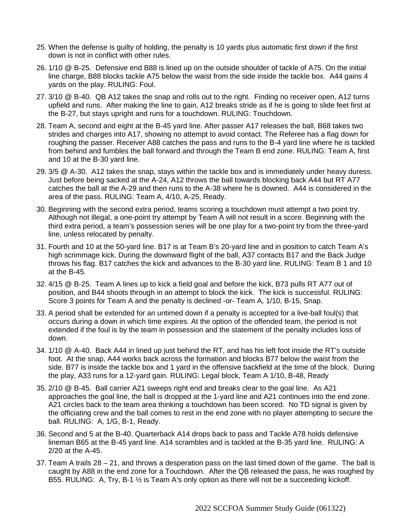- 25. When the defense is guilty of holding, the penalty is 10 yards plus automatic first down if the first down is not in conflict with other rules.
- 26. 1/10 @ B-25. Defensive end B88 is lined up on the outside shoulder of tackle of A75. On the initial line charge, B88 blocks tackle A75 below the waist from the side inside the tackle box. A44 gains 4 yards on the play. RULING: Foul.
- 27. 3/10 @ B-40. QB A12 takes the snap and rolls out to the right. Finding no receiver open, A12 turns upfield and runs. After making the line to gain, A12 breaks stride as if he is going to slide feet first at the B-27, but stays upright and runs for a touchdown. RULING: Touchdown.
- 28. Team A, second and eight at the B-45 yard line. After passer A17 releases the ball, B68 takes two strides and charges into A17, showing no attempt to avoid contact. The Referee has a flag down for roughing the passer. Receiver A88 catches the pass and runs to the B-4 yard line where he is tackled from behind and fumbles the ball forward and through the Team B end zone. RULING: Team A, first and 10 at the B-30 yard line.
- 29. 3/5 @ A-30. A12 takes the snap, stays within the tackle box and is immediately under heavy duress. Just before being sacked at the A-24, A12 throws the ball towards blocking back A44 but RT A77 catches the ball at the A-29 and then runs to the A-38 where he is downed. A44 is considered in the area of the pass. RULING: Team A, 4/10, A-25, Ready.
- 30. Beginning with the second extra period, teams scoring a touchdown must attempt a two point try. Although not illegal, a one-point try attempt by Team A will not result in a score. Beginning with the third extra period, a team's possession series will be one play for a two-point try from the three-yard line, unless relocated by penalty.
- 31. Fourth and 10 at the 50-yard line. B17 is at Team B's 20-yard line and in position to catch Team A's high scrimmage kick. During the downward flight of the ball, A37 contacts B17 and the Back Judge throws his flag. B17 catches the kick and advances to the B-30 yard line. RULING: Team B 1 and 10 at the B-45.
- 32. 4/15 @ B-25. Team A lines up to kick a field goal and before the kick, B73 pulls RT A77 out of position, and B44 shoots through in an attempt to block the kick. The kick is successful. RULING: Score 3 points for Team A and the penalty is declined -or- Team A, 1/10, B-15, Snap.
- 33. A period shall be extended for an untimed down if a penalty is accepted for a live-ball foul(s) that occurs during a down in which time expires. At the option of the offended team, the period is not extended if the foul is by the team in possession and the statement of the penalty includes loss of down.
- 34. 1/10 @ A-40. Back A44 in lined up just behind the RT, and has his left foot inside the RT's outside foot. At the snap, A44 works back across the formation and blocks B77 below the waist from the side. B77 is inside the tackle box and 1 yard in the offensive backfield at the time of the block. During the play, A33 runs for a 12-yard gain. RULING: Legal block, Team A 1/10, B-48, Ready
- 35. 2/10 @ B-45. Ball carrier A21 sweeps right end and breaks clear to the goal line. As A21 approaches the goal line, the ball is dropped at the 1-yard line and A21 continues into the end zone. A21 circles back to the team area thinking a touchdown has been scored. No TD signal is given by the officiating crew and the ball comes to rest in the end zone with no player attempting to secure the ball. RULING: A, 1/G, B-1, Ready.
- 36. Second and 5 at the B-40. Quarterback A14 drops back to pass and Tackle A78 holds defensive lineman B65 at the B-45 yard line. A14 scrambles and is tackled at the B-35 yard line. RULING: A 2/20 at the A-45.
- 37. Team A trails 28 21, and throws a desperation pass on the last timed down of the game. The ball is caught by A88 in the end zone for a Touchdown. After the QB released the pass, he was roughed by B55. RULING: A, Try, B-1 ½ is Team A's only option as there will not be a succeeding kickoff.